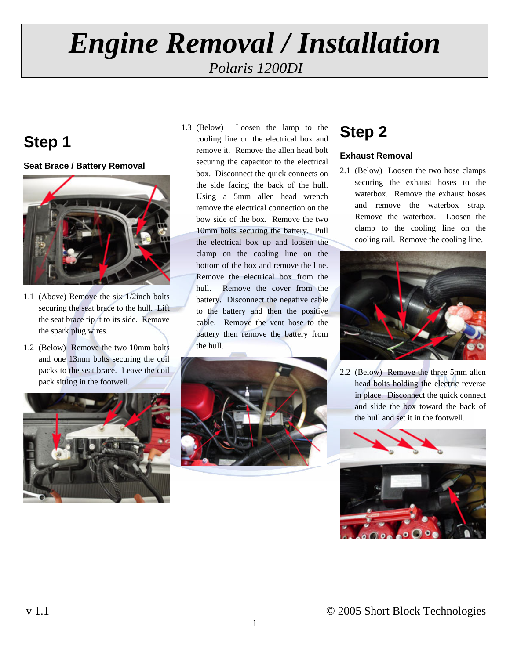## **Step 1**

#### **Seat Brace / Battery Removal**



- 1.1 (Above) Remove the six 1/2inch bolts securing the seat brace to the hull. Lift the seat brace tip it to its side. Remove the spark plug wires.
- 1.2 (Below) Remove the two 10mm bolts and one 13mm bolts securing the coil packs to the seat brace. Leave the coil pack sitting in the footwell.



1.3 (Below) Loosen the lamp to the cooling line on the electrical box and remove it. Remove the allen head bolt securing the capacitor to the electrical box. Disconnect the quick connects on the side facing the back of the hull. Using a 5mm allen head wrench remove the electrical connection on the bow side of the box. Remove the two 10mm bolts securing the battery. Pull the electrical box up and loosen the clamp on the cooling line on the bottom of the box and remove the line. Remove the electrical box from the hull. Remove the cover from the battery. Disconnect the negative cable to the battery and then the positive cable. Remove the vent hose to the battery then remove the battery from the hull.



## **Step 2**

### **Exhaust Removal**

2.1 (Below) Loosen the two hose clamps securing the exhaust hoses to the waterbox. Remove the exhaust hoses and remove the waterbox strap. Remove the waterbox. Loosen the clamp to the cooling line on the cooling rail. Remove the cooling line.



2.2 (Below) Remove the three 5mm allen head bolts holding the electric reverse in place. Disconnect the quick connect and slide the box toward the back of the hull and set it in the footwell.

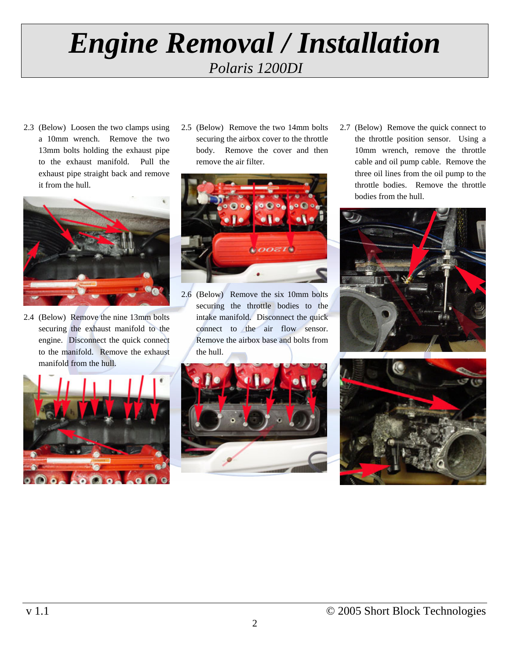2.3 (Below) Loosen the two clamps using a 10mm wrench. Remove the two 13mm bolts holding the exhaust pipe to the exhaust manifold. Pull the exhaust pipe straight back and remove it from the hull.



2.4 (Below) Remove the nine 13mm bolts securing the exhaust manifold to the engine. Disconnect the quick connect to the manifold. Remove the exhaust manifold from the hull.



2.5 (Below) Remove the two 14mm bolts securing the airbox cover to the throttle body. Remove the cover and then remove the air filter.



2.6 (Below) Remove the six 10mm bolts securing the throttle bodies to the intake manifold. Disconnect the quick connect to the air flow sensor. Remove the airbox base and bolts from the hull.

2.7 (Below) Remove the quick connect to the throttle position sensor. Using a 10mm wrench, remove the throttle cable and oil pump cable. Remove the three oil lines from the oil pump to the throttle bodies. Remove the throttle bodies from the hull.





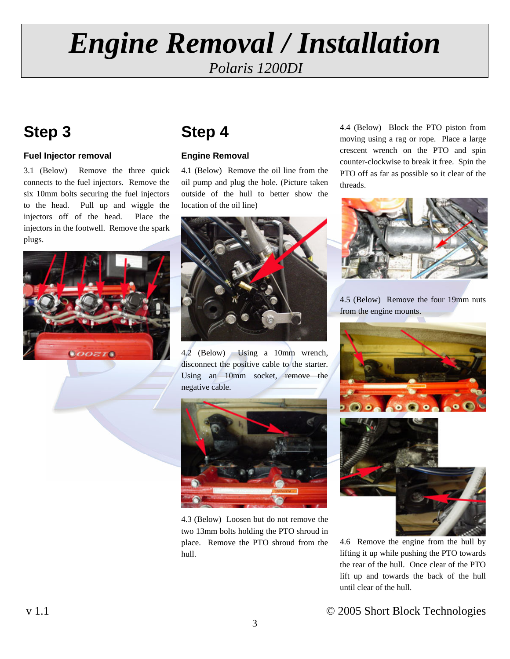## **Step 3**

### **Fuel Injector removal**

3.1 (Below) Remove the three quick connects to the fuel injectors. Remove the six 10mm bolts securing the fuel injectors to the head. Pull up and wiggle the injectors off of the head. Place the injectors in the footwell. Remove the spark plugs.



## **Step 4**

### **Engine Removal**

4.1 (Below) Remove the oil line from the oil pump and plug the hole. (Picture taken outside of the hull to better show the location of the oil line)



4.2 (Below) Using a 10mm wrench, disconnect the positive cable to the starter. Using an 10mm socket, remove the negative cable.

4.3 (Below) Loosen but do not remove the two 13mm bolts holding the PTO shroud in place. Remove the PTO shroud from the hull.

4.4 (Below) Block the PTO piston from moving using a rag or rope. Place a large crescent wrench on the PTO and spin counter-clockwise to break it free. Spin the PTO off as far as possible so it clear of the threads.



4.5 (Below) Remove the four 19mm nuts from the engine mounts.





4.6 Remove the engine from the hull by lifting it up while pushing the PTO towards the rear of the hull. Once clear of the PTO lift up and towards the back of the hull until clear of the hull.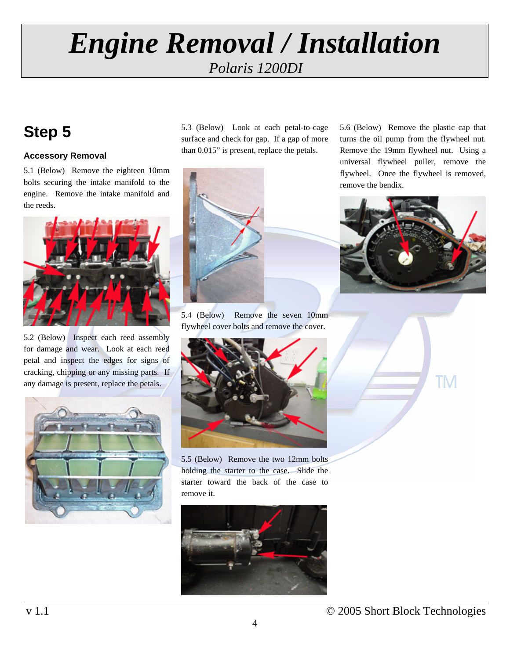## **Step 5**

### **Accessory Removal**

5.1 (Below) Remove the eighteen 10mm bolts securing the intake manifold to the engine. Remove the intake manifold and the reeds.



5.2 (Below) Inspect each reed assembly for damage and wear. Look at each reed petal and inspect the edges for signs of cracking, chipping or any missing parts. If any damage is present, replace the petals.



5.3 (Below) Look at each petal-to-cage surface and check for gap. If a gap of more than 0.015" is present, replace the petals.



5.4 (Below) Remove the seven 10mm flywheel cover bolts and remove the cover.



5.5 (Below) Remove the two 12mm bolts holding the starter to the case. Slide the starter toward the back of the case to remove it.

![](_page_3_Picture_12.jpeg)

5.6 (Below) Remove the plastic cap that turns the oil pump from the flywheel nut. Remove the 19mm flywheel nut. Using a universal flywheel puller, remove the flywheel. Once the flywheel is removed, remove the bendix.

![](_page_3_Picture_14.jpeg)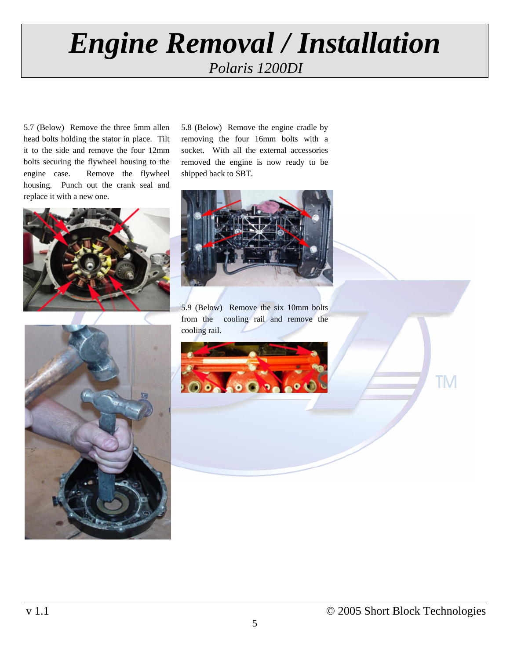5.7 (Below) Remove the three 5mm allen head bolts holding the stator in place. Tilt it to the side and remove the four 12mm bolts securing the flywheel housing to the engine case. Remove the flywheel housing. Punch out the crank seal and replace it with a new one.

![](_page_4_Picture_2.jpeg)

5.8 (Below) Remove the engine cradle by removing the four 16mm bolts with a socket. With all the external accessories removed the engine is now ready to be shipped back to SBT.

![](_page_4_Picture_4.jpeg)

5.9 (Below) Remove the six 10mm bolts from the cooling rail and remove the cooling rail.

![](_page_4_Picture_6.jpeg)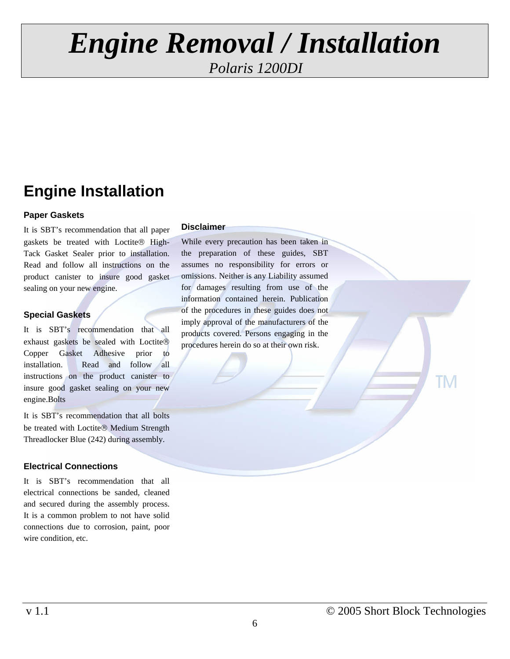## **Engine Installation**

#### **Paper Gaskets**

It is SBT's recommendation that all paper gaskets be treated with Loctite® High-Tack Gasket Sealer prior to installation. Read and follow all instructions on the product canister to insure good gasket sealing on your new engine.

#### **Special Gaskets**

It is SBT's recommendation that all exhaust gaskets be sealed with Loctite® Copper Gasket Adhesive prior to installation. Read and follow all instructions on the product canister to insure good gasket sealing on your new engine.Bolts

It is SBT's recommendation that all bolts be treated with Loctite® Medium Strength Threadlocker Blue (242) during assembly.

#### **Electrical Connections**

It is SBT's recommendation that all electrical connections be sanded, cleaned and secured during the assembly process. It is a common problem to not have solid connections due to corrosion, paint, poor wire condition, etc.

#### **Disclaimer**

While every precaution has been taken in the preparation of these guides, SBT assumes no responsibility for errors or omissions. Neither is any Liability assumed for damages resulting from use of the information contained herein. Publication of the procedures in these guides does not imply approval of the manufacturers of the products covered. Persons engaging in the procedures herein do so at their own risk.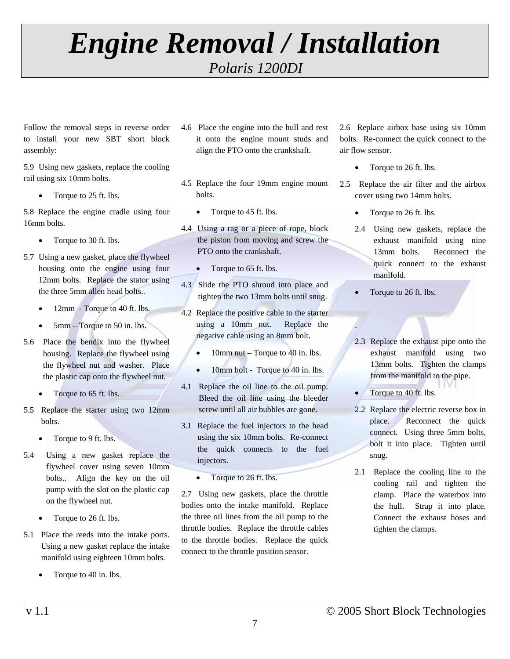Follow the removal steps in reverse order to install your new SBT short block assembly:

5.9 Using new gaskets, replace the cooling rail using six 10mm bolts.

• Torque to 25 ft. lbs.

5.8 Replace the engine cradle using four 16mm bolts.

- Torque to 30 ft. lbs.
- 5.7 Using a new gasket, place the flywheel housing onto the engine using four 12mm bolts. Replace the stator using the three 5mm allen head bolts..
	- 12mm Torque to 40 ft. lbs.
	- 5mm Torque to 50 in. lbs.
- 5.6 Place the bendix into the flywheel housing. Replace the flywheel using the flywheel nut and washer. Place the plastic cap onto the flywheel nut.
	- Torque to 65 ft. lbs.
- 5.5 Replace the starter using two 12mm bolts.
	- Torque to 9 ft. lbs.
- 5.4 Using a new gasket replace the flywheel cover using seven 10mm bolts.. Align the key on the oil pump with the slot on the plastic cap on the flywheel nut.
	- Torque to 26 ft. lbs.
- 5.1 Place the reeds into the intake ports. Using a new gasket replace the intake manifold using eighteen 10mm bolts.
	- Torque to 40 in. lbs.
- 4.6 Place the engine into the hull and rest it onto the engine mount studs and align the PTO onto the crankshaft.
- 4.5 Replace the four 19mm engine mount bolts.
	- Torque to 45 ft. lbs.
- 4.4 Using a rag or a piece of rope, block the piston from moving and screw the PTO onto the crankshaft.
	- Torque to 65 ft. lbs.
- 4.3 Slide the PTO shroud into place and tighten the two 13mm bolts until snug.
- 4.2 Replace the positive cable to the starter using a 10mm nut. Replace the negative cable using an 8mm bolt.
	- 10mm nut Torque to 40 in. lbs.
	- 10mm bolt Torque to 40 in. lbs.
- 4.1 Replace the oil line to the oil pump. Bleed the oil line using the bleeder screw until all air bubbles are gone.
- 3.1 Replace the fuel injectors to the head using the six 10mm bolts. Re-connect the quick connects to the fuel injectors.
	- Torque to 26 ft. lbs.

2.7 Using new gaskets, place the throttle bodies onto the intake manifold. Replace the three oil lines from the oil pump to the throttle bodies. Replace the throttle cables to the throttle bodies. Replace the quick connect to the throttle position sensor.

2.6 Replace airbox base using six 10mm bolts. Re-connect the quick connect to the air flow sensor.

• Torque to 26 ft. lbs.

2.5 Replace the air filter and the airbox cover using two 14mm bolts.

- Torque to 26 ft. lbs.
- 2.4 Using new gaskets, replace the exhaust manifold using nine 13mm bolts. Reconnect the quick connect to the exhaust manifold.
- Torque to 26 ft. lbs.

.

- 2.3 Replace the exhaust pipe onto the exhaust manifold using two 13mm bolts. Tighten the clamps from the manifold to the pipe.
- Torque to 40 ft. lbs.
- 2.2 Replace the electric reverse box in place. Reconnect the quick connect. Using three 5mm bolts, bolt it into place. Tighten until snug.
- 2.1 Replace the cooling line to the cooling rail and tighten the clamp. Place the waterbox into the hull. Strap it into place. Connect the exhaust hoses and tighten the clamps.